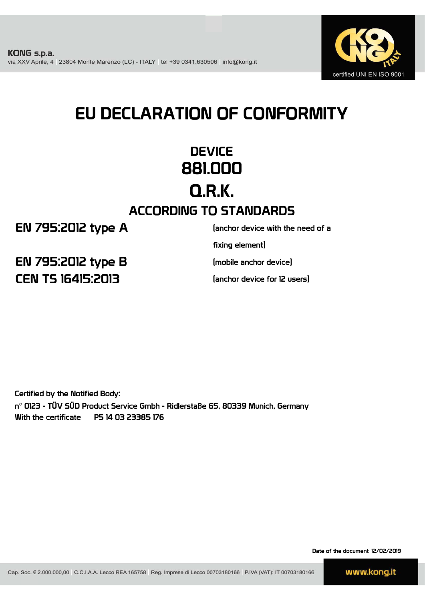

# EU DECLARATION OF CONFORMITY

## **DEVICE** 881.000 Q.R.K. ACCORDING TO STANDARDS

EN 795:2012 type A

(anchor device with the need of a

fixing element)

(mobile anchor device)

(anchor device for 12 users)

CEN TS 16415:2013 EN 795:2012 type B

Certified by the Notified Body: n° 0123 - TÜV SÜD Product Service Gmbh - Ridlerstaße 65, 80339 Munich, Germany With the certificate P5 14 03 23385 176

Date of the document 12/02/2019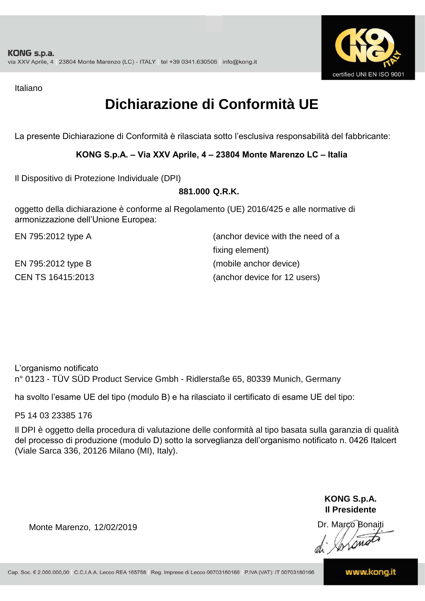

Italiano

## **Dichiarazione di Conformità UE**

La presente Dichiarazione di Conformità è rilasciata sotto l'esclusiva responsabilità del fabbricante:

### **KONG S.p.A. – Via XXV Aprile, 4 – 23804 Monte Marenzo LC – Italia**

Il Dispositivo di Protezione Individuale (DPI)

### **881.000 Q.R.K.**

oggetto della dichiarazione è conforme al Regolamento (UE) 2016/425 e alle normative di armonizzazione dell'Unione Europea:

EN 795:2012 type A

EN 795:2012 type B

(anchor device with the need of a fixing element) CEN TS 16415:2013 (anchor device for 12 users) (mobile anchor device)

L'organismo notificato n° 0123 - TÜV SÜD Product Service Gmbh - Ridlerstaße 65, 80339 Munich, Germany

ha svolto l'esame UE del tipo (modulo B) e ha rilasciato il certificato di esame UE del tipo:

P5 14 03 23385 176

Il DPI è oggetto della procedura di valutazione delle conformità al tipo basata sulla garanzia di qualità del processo di produzione (modulo D) sotto la sorveglianza dell'organismo notificato n. 0426 Italcert (Viale Sarca 336, 20126 Milano (MI), Italy).

> **KONG S.p.A. Il Presidente**

Monte Marenzo, 12/02/2019<br>Monte Marenzo, 12/02/2019<br>Marco Bonaiti 12/02/2019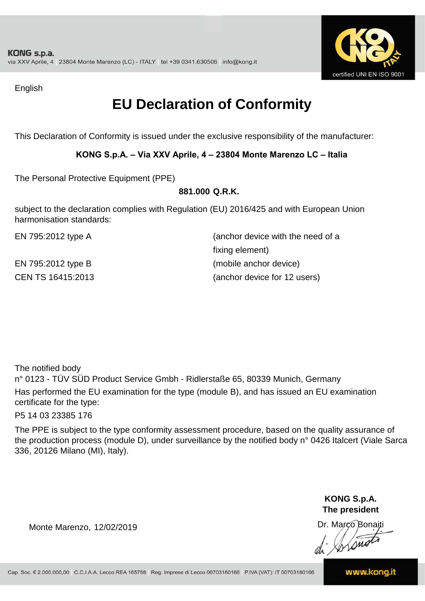

English

## **EU Declaration of Conformity**

This Declaration of Conformity is issued under the exclusive responsibility of the manufacturer:

### **KONG S.p.A. – Via XXV Aprile, 4 – 23804 Monte Marenzo LC – Italia**

The Personal Protective Equipment (PPE)

### **881.000 Q.R.K.**

subject to the declaration complies with Regulation (EU) 2016/425 and with European Union harmonisation standards:

EN 795:2012 type A (anchor device with the need of a fixing element) EN 795:2012 type B (mobile anchor device) CEN TS 16415:2013 (anchor device for 12 users)

The notified body

n° 0123 - TÜV SÜD Product Service Gmbh - Ridlerstaße 65, 80339 Munich, Germany Has performed the EU examination for the type (module B), and has issued an EU examination certificate for the type:

P5 14 03 23385 176

The PPE is subject to the type conformity assessment procedure, based on the quality assurance of the production process (module D), under surveillance by the notified body n° 0426 Italcert (Viale Sarca 336, 20126 Milano (MI), Italy).

> **KONG S.p.A. The president**

Dr. Marco Bonaiti

Monte Marenzo, 12/02/2019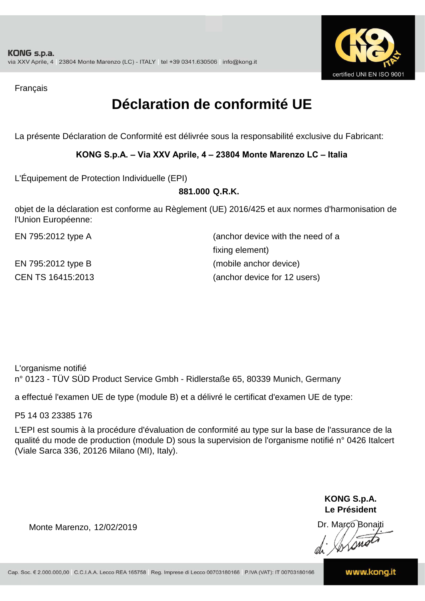

Français

## **Déclaration de conformité UE**

La présente Déclaration de Conformité est délivrée sous la responsabilité exclusive du Fabricant:

### **KONG S.p.A. – Via XXV Aprile, 4 – 23804 Monte Marenzo LC – Italia**

L'Équipement de Protection Individuelle (EPI)

### **881.000 Q.R.K.**

objet de la déclaration est conforme au Règlement (UE) 2016/425 et aux normes d'harmonisation de l'Union Européenne:

| EN 795:2012 type A | (anchor device with the need of a |
|--------------------|-----------------------------------|
|                    | fixing element)                   |
| EN 795:2012 type B | (mobile anchor device)            |
| CEN TS 16415:2013  | (anchor device for 12 users)      |

L'organisme notifié n° 0123 - TÜV SÜD Product Service Gmbh - Ridlerstaße 65, 80339 Munich, Germany

a effectué l'examen UE de type (module B) et a délivré le certificat d'examen UE de type:

P5 14 03 23385 176

L'EPI est soumis à la procédure d'évaluation de conformité au type sur la base de l'assurance de la qualité du mode de production (module D) sous la supervision de l'organisme notifié n° 0426 Italcert (Viale Sarca 336, 20126 Milano (MI), Italy).

> **KONG S.p.A. Le Président**

Dr. Marco Bonaiti di Aromor

Monte Marenzo, 12/02/2019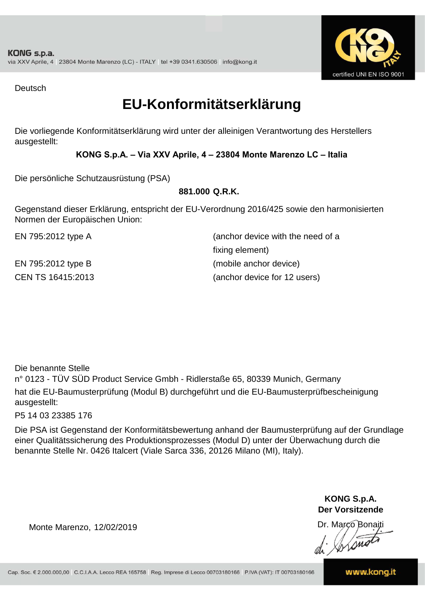

Deutsch

### **EU-Konformitätserklärung**

Die vorliegende Konformitätserklärung wird unter der alleinigen Verantwortung des Herstellers ausgestellt:

### **KONG S.p.A. – Via XXV Aprile, 4 – 23804 Monte Marenzo LC – Italia**

Die persönliche Schutzausrüstung (PSA)

### **881.000 Q.R.K.**

Gegenstand dieser Erklärung, entspricht der EU-Verordnung 2016/425 sowie den harmonisierten Normen der Europäischen Union:

EN 795:2012 type A (anchor device with the need of a fixing element) EN 795:2012 type B (mobile anchor device) CEN TS 16415:2013 (anchor device for 12 users)

Die benannte Stelle

n° 0123 - TÜV SÜD Product Service Gmbh - Ridlerstaße 65, 80339 Munich, Germany hat die EU-Baumusterprüfung (Modul B) durchgeführt und die EU-Baumusterprüfbescheinigung ausgestellt:

P5 14 03 23385 176

Die PSA ist Gegenstand der Konformitätsbewertung anhand der Baumusterprüfung auf der Grundlage einer Qualitätssicherung des Produktionsprozesses (Modul D) unter der Überwachung durch die benannte Stelle Nr. 0426 Italcert (Viale Sarca 336, 20126 Milano (MI), Italy).

> **KONG S.p.A. Der Vorsitzende**

Dr. Marco Bonaiti

Monte Marenzo, 12/02/2019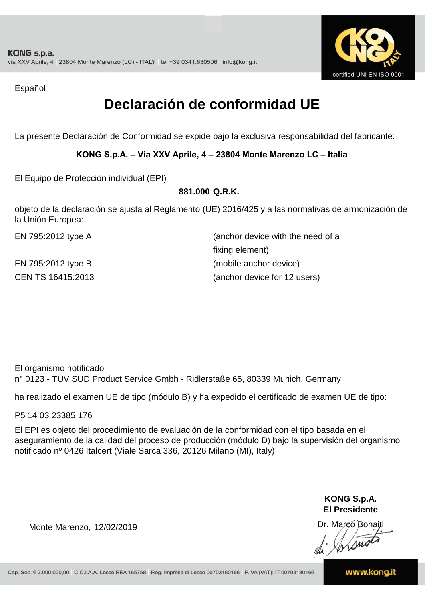

Español

## **Declaración de conformidad UE**

La presente Declaración de Conformidad se expide bajo la exclusiva responsabilidad del fabricante:

### **KONG S.p.A. – Via XXV Aprile, 4 – 23804 Monte Marenzo LC – Italia**

El Equipo de Protección individual (EPI)

#### **881.000 Q.R.K.**

objeto de la declaración se ajusta al Reglamento (UE) 2016/425 y a las normativas de armonización de la Unión Europea:

| EN 795:2012 type A | (anchor device with the need of a |
|--------------------|-----------------------------------|
|                    | fixing element)                   |
| EN 795:2012 type B | (mobile anchor device)            |
| CEN TS 16415:2013  | (anchor device for 12 users)      |

El organismo notificado n° 0123 - TÜV SÜD Product Service Gmbh - Ridlerstaße 65, 80339 Munich, Germany

ha realizado el examen UE de tipo (módulo B) y ha expedido el certificado de examen UE de tipo:

P5 14 03 23385 176

El EPI es objeto del procedimiento de evaluación de la conformidad con el tipo basada en el aseguramiento de la calidad del proceso de producción (módulo D) bajo la supervisión del organismo notificado nº 0426 Italcert (Viale Sarca 336, 20126 Milano (MI), Italy).

> **KONG S.p.A. El Presidente**

Dr. Marco Bonaiti di Aromor

Monte Marenzo, 12/02/2019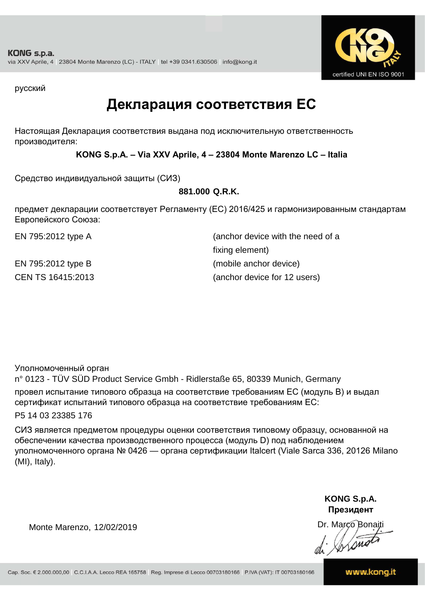

русский

### **Декларация соответствия ЕС**

Настоящая Декларация соответствия выдана под исключительную ответственность производителя:

### **KONG S.p.A. – Via XXV Aprile, 4 – 23804 Monte Marenzo LC – Italia**

Средство индивидуальной защиты (СИЗ)

### **881.000 Q.R.K.**

предмет декларации соответствует Регламенту (ЕС) 2016/425 и гармонизированным стандартам Европейского Союза:

CEN TS 16415:2013 (anchor device for 12 users) EN 795:2012 type A (anchor device with the need of a fixing element) EN 795:2012 type B (mobile anchor device)

Уполномоченный орган

n° 0123 - TÜV SÜD Product Service Gmbh - Ridlerstaße 65, 80339 Munich, Germany провел испытание типового образца на соответствие требованиям ЕС (модуль B) и выдал сертификат испытаний типового образца на соответствие требованиям ЕС:

P5 14 03 23385 176

СИЗ является предметом процедуры оценки соответствия типовому образцу, основанной на обеспечении качества производственного процесса (модуль D) под наблюдением уполномоченного органа № 0426 — органа сертификации Italcert (Viale Sarca 336, 20126 Milano (MI), Italy).

> **KONG S.p.A. Президент**

Dr. Marco Bonaiti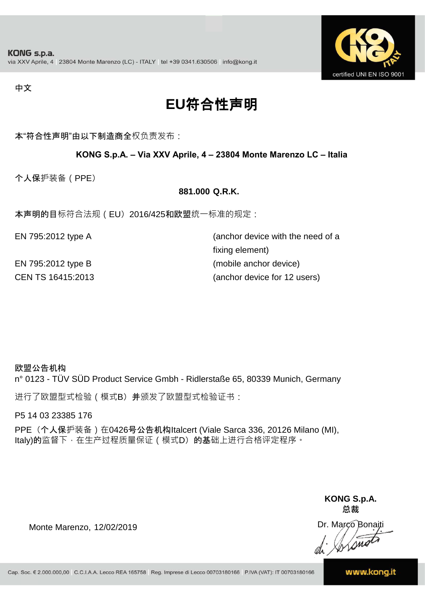

#### 中文

## **EU**符合性声明

本"符合性声明"由以下制造商全权负责发布:

### **KONG S.p.A. – Via XXV Aprile, 4 – 23804 Monte Marenzo LC – Italia**

个人保护装备(PPE)

#### **881.000 Q.R.K.**

本声明的目标符合法规(EU) 2016/425和欧盟统一标准的规定:

| EN 795:2012 type A | (anchor device with the need of a |
|--------------------|-----------------------------------|
|                    | fixing element)                   |
| EN 795:2012 type B | (mobile anchor device)            |
| CEN TS 16415:2013  | (anchor device for 12 users)      |

#### 欧盟公告机构

n° 0123 - TÜV SÜD Product Service Gmbh - Ridlerstaße 65, 80339 Munich, Germany

进行了欧盟型式检验(模式B) 并颁发了欧盟型式检验证书:

P5 14 03 23385 176

PPE (个人保护装备) 在0426号公告机构Italcert (Viale Sarca 336, 20126 Milano (MI), Italy)的监督下, 在生产过程质量保证 ( 模式D) 的基础上进行合格评定程序。

> **KONG S.p.A. 总裁**

Dr. Marco Bonaiti di Simon

Monte Marenzo, 12/02/2019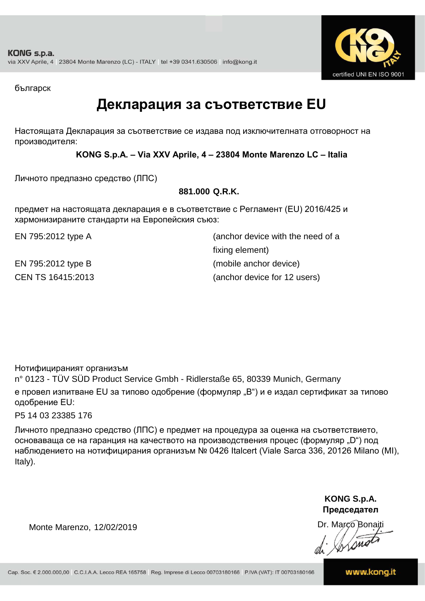

българск

### **Декларация за съответствие EU**

Настоящата Декларация за съответствие се издава под изключителната отговорност на производителя:

**KONG S.p.A. – Via XXV Aprile, 4 – 23804 Monte Marenzo LC – Italia**

Личното предпазно средство (ЛПС)

### **881.000 Q.R.K.**

предмет на настоящата декларация е в съответствие с Регламент (ЕU) 2016/425 и хармонизираните стандарти на Европейския съюз:

CEN TS 16415:2013 (anchor device for 12 users) EN 795:2012 type A (anchor device with the need of a fixing element) EN 795:2012 type B (mobile anchor device)

Нотифицираният организъм

n° 0123 - TÜV SÜD Product Service Gmbh - Ridlerstaße 65, 80339 Munich, Germany е провел изпитване EU за типово одобрение (формуляр "B") и е издал сертификат за типово одобрение ЕU:

P5 14 03 23385 176

Личното предпазно средство (ЛПС) е предмет на процедура за оценка на съответствието, основаваща се на гаранция на качеството на производствения процес (формуляр "D") под наблюдението на нотифицирания организъм № 0426 Italcert (Viale Sarca 336, 20126 Milano (MI), Italy).

> **KONG S.p.A. Председател**

Dr. Marco Bonaiti

Monte Marenzo, 12/02/2019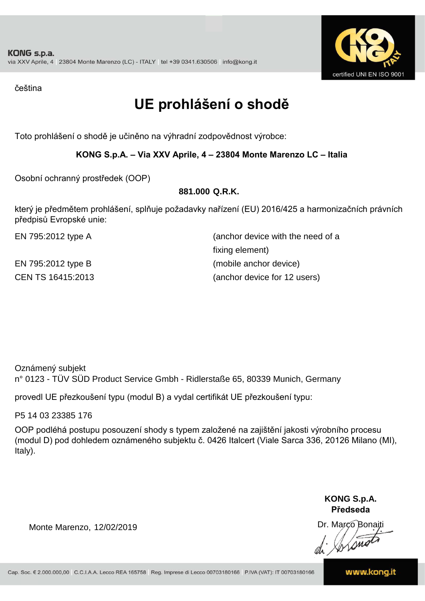

čeština

## **UE prohlášení o shodě**

Toto prohlášení o shodě je učiněno na výhradní zodpovědnost výrobce:

### **KONG S.p.A. – Via XXV Aprile, 4 – 23804 Monte Marenzo LC – Italia**

Osobní ochranný prostředek (OOP)

### **881.000 Q.R.K.**

který je předmětem prohlášení, splňuje požadavky nařízení (EU) 2016/425 a harmonizačních právních předpisů Evropské unie:

EN 795:2012 type A (anchor device with the need of a fixing element) EN 795:2012 type B (mobile anchor device) CEN TS 16415:2013 (anchor device for 12 users)

Oznámený subjekt n° 0123 - TÜV SÜD Product Service Gmbh - Ridlerstaße 65, 80339 Munich, Germany

provedl UE přezkoušení typu (modul B) a vydal certifikát UE přezkoušení typu:

P5 14 03 23385 176

OOP podléhá postupu posouzení shody s typem založené na zajištění jakosti výrobního procesu (modul D) pod dohledem oznámeného subjektu č. 0426 Italcert (Viale Sarca 336, 20126 Milano (MI), Italy).

> **KONG S.p.A. Předseda**

Dr. Marco Bonaiti di Simon

Monte Marenzo, 12/02/2019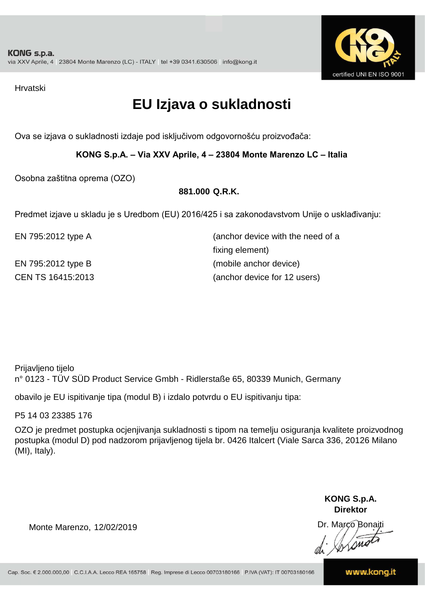

Hrvatski

## **EU Izjava o sukladnosti**

Ova se izjava o sukladnosti izdaje pod isključivom odgovornošću proizvođača:

**KONG S.p.A. – Via XXV Aprile, 4 – 23804 Monte Marenzo LC – Italia**

Osobna zaštitna oprema (OZO)

### **881.000 Q.R.K.**

Predmet izjave u skladu je s Uredbom (EU) 2016/425 i sa zakonodavstvom Unije o usklađivanju:

CEN TS 16415:2013 (anchor device for 12 users) EN 795:2012 type A (anchor device with the need of a fixing element) EN 795:2012 type B (mobile anchor device)

Prijavljeno tijelo n° 0123 - TÜV SÜD Product Service Gmbh - Ridlerstaße 65, 80339 Munich, Germany

obavilo je EU ispitivanje tipa (modul B) i izdalo potvrdu o EU ispitivanju tipa:

P5 14 03 23385 176

OZO je predmet postupka ocjenjivanja sukladnosti s tipom na temelju osiguranja kvalitete proizvodnog postupka (modul D) pod nadzorom prijavljenog tijela br. 0426 Italcert (Viale Sarca 336, 20126 Milano (MI), Italy).

> **KONG S.p.A. Direktor**

Dr. Marco Bonaiti di Simon

Monte Marenzo, 12/02/2019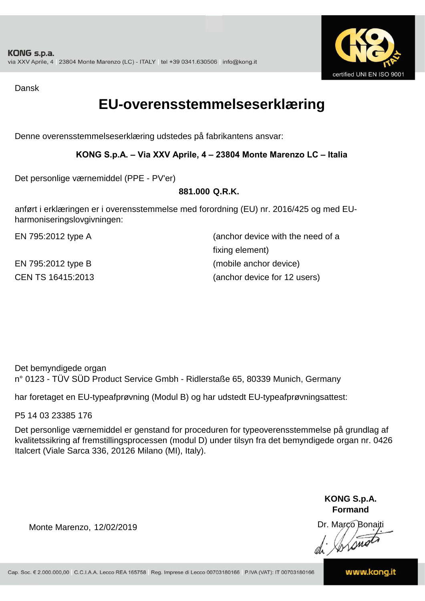

Dansk

### **EU-overensstemmelseserklæring**

Denne overensstemmelseserklæring udstedes på fabrikantens ansvar:

### **KONG S.p.A. – Via XXV Aprile, 4 – 23804 Monte Marenzo LC – Italia**

Det personlige værnemiddel (PPE - PV'er)

### **881.000 Q.R.K.**

anført i erklæringen er i overensstemmelse med forordning (EU) nr. 2016/425 og med EUharmoniseringslovgivningen:

EN 795:2012 type A (anchor device with the need of a fixing element) EN 795:2012 type B (mobile anchor device) CEN TS 16415:2013 (anchor device for 12 users)

Det bemyndigede organ n° 0123 - TÜV SÜD Product Service Gmbh - Ridlerstaße 65, 80339 Munich, Germany

har foretaget en EU-typeafprøvning (Modul B) og har udstedt EU-typeafprøvningsattest:

P5 14 03 23385 176

Det personlige værnemiddel er genstand for proceduren for typeoverensstemmelse på grundlag af kvalitetssikring af fremstillingsprocessen (modul D) under tilsyn fra det bemyndigede organ nr. 0426 Italcert (Viale Sarca 336, 20126 Milano (MI), Italy).

> **KONG S.p.A. Formand**

Dr. Marco Bonaiti di Aromor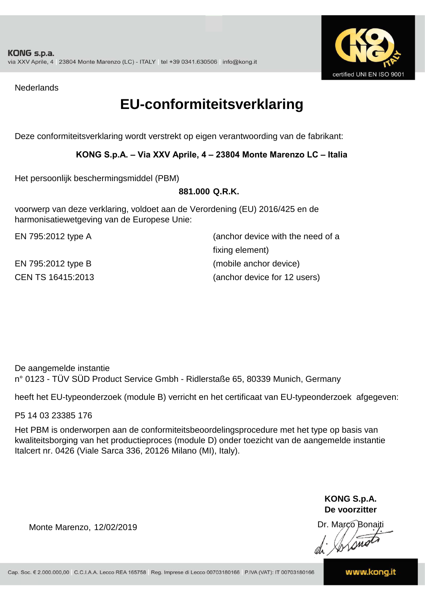

**Nederlands** 

### **EU-conformiteitsverklaring**

Deze conformiteitsverklaring wordt verstrekt op eigen verantwoording van de fabrikant:

### **KONG S.p.A. – Via XXV Aprile, 4 – 23804 Monte Marenzo LC – Italia**

Het persoonlijk beschermingsmiddel (PBM)

#### **881.000 Q.R.K.**

voorwerp van deze verklaring, voldoet aan de Verordening (EU) 2016/425 en de harmonisatiewetgeving van de Europese Unie:

CEN TS 16415:2013 (anchor device for 12 users) EN 795:2012 type A (anchor device with the need of a fixing element) EN 795:2012 type B (mobile anchor device)

De aangemelde instantie n° 0123 - TÜV SÜD Product Service Gmbh - Ridlerstaße 65, 80339 Munich, Germany

heeft het EU-typeonderzoek (module B) verricht en het certificaat van EU-typeonderzoek afgegeven:

P5 14 03 23385 176

Het PBM is onderworpen aan de conformiteitsbeoordelingsprocedure met het type op basis van kwaliteitsborging van het productieproces (module D) onder toezicht van de aangemelde instantie Italcert nr. 0426 (Viale Sarca 336, 20126 Milano (MI), Italy).

> **KONG S.p.A. De voorzitter**

Dr. Marco Bonaiti di Arsnot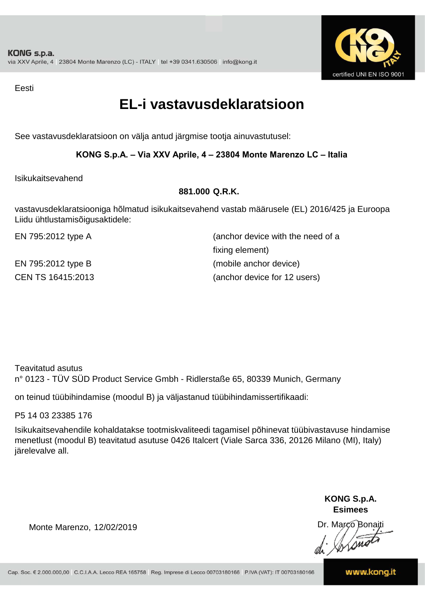

Eesti

### **EL-i vastavusdeklaratsioon**

See vastavusdeklaratsioon on välja antud järgmise tootja ainuvastutusel:

### **KONG S.p.A. – Via XXV Aprile, 4 – 23804 Monte Marenzo LC – Italia**

Isikukaitsevahend

### **881.000 Q.R.K.**

vastavusdeklaratsiooniga hõlmatud isikukaitsevahend vastab määrusele (EL) 2016/425 ja Euroopa Liidu ühtlustamisõigusaktidele:

EN 795:2012 type A (anchor device with the need of a fixing element) EN 795:2012 type B (mobile anchor device) CEN TS 16415:2013 (anchor device for 12 users)

Teavitatud asutus n° 0123 - TÜV SÜD Product Service Gmbh - Ridlerstaße 65, 80339 Munich, Germany

on teinud tüübihindamise (moodul B) ja väljastanud tüübihindamissertifikaadi:

P5 14 03 23385 176

Isikukaitsevahendile kohaldatakse tootmiskvaliteedi tagamisel põhinevat tüübivastavuse hindamise menetlust (moodul B) teavitatud asutuse 0426 Italcert (Viale Sarca 336, 20126 Milano (MI), Italy) järelevalve all.

> **KONG S.p.A. Esimees**

Dr. Marco Bonaiti di Stonon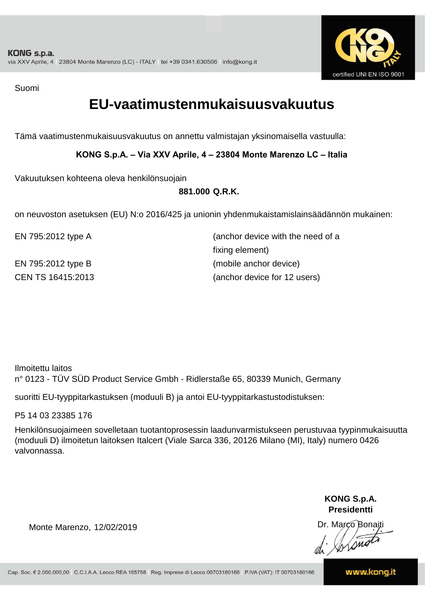

Suomi

### **EU-vaatimustenmukaisuusvakuutus**

Tämä vaatimustenmukaisuusvakuutus on annettu valmistajan yksinomaisella vastuulla:

**KONG S.p.A. – Via XXV Aprile, 4 – 23804 Monte Marenzo LC – Italia**

Vakuutuksen kohteena oleva henkilönsuojain

**881.000 Q.R.K.**

on neuvoston asetuksen (EU) N:o 2016/425 ja unionin yhdenmukaistamislainsäädännön mukainen:

| EN 795:2012 type A | (anchor device with the need of a |
|--------------------|-----------------------------------|
|                    | fixing element)                   |
| EN 795:2012 type B | (mobile anchor device)            |
| CEN TS 16415:2013  | (anchor device for 12 users)      |

Ilmoitettu laitos n° 0123 - TÜV SÜD Product Service Gmbh - Ridlerstaße 65, 80339 Munich, Germany

suoritti EU-tyyppitarkastuksen (moduuli B) ja antoi EU-tyyppitarkastustodistuksen:

P5 14 03 23385 176

Henkilönsuojaimeen sovelletaan tuotantoprosessin laadunvarmistukseen perustuvaa tyypinmukaisuutta (moduuli D) ilmoitetun laitoksen Italcert (Viale Sarca 336, 20126 Milano (MI), Italy) numero 0426 valvonnassa.

> **KONG S.p.A. Presidentti**

Dr. Marco Bonaiti di Simon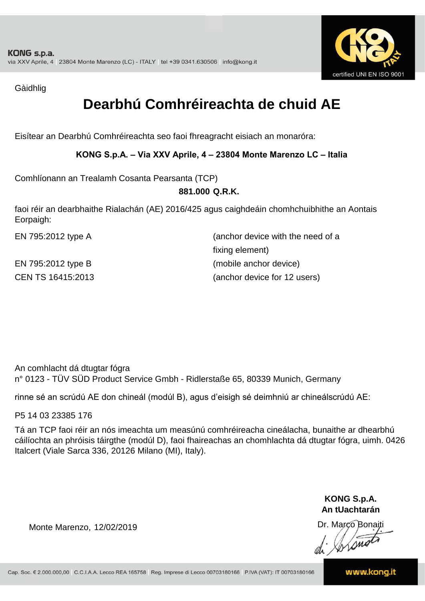

Gàidhlig

## **Dearbhú Comhréireachta de chuid AE**

Eisítear an Dearbhú Comhréireachta seo faoi fhreagracht eisiach an monaróra:

### **KONG S.p.A. – Via XXV Aprile, 4 – 23804 Monte Marenzo LC – Italia**

Comhlíonann an Trealamh Cosanta Pearsanta (TCP)

### **881.000 Q.R.K.**

faoi réir an dearbhaithe Rialachán (AE) 2016/425 agus caighdeáin chomhchuibhithe an Aontais Eorpaigh:

EN 795:2012 type A (anchor device with the need of a fixing element) EN 795:2012 type B (mobile anchor device) CEN TS 16415:2013 (anchor device for 12 users)

An comhlacht dá dtugtar fógra n° 0123 - TÜV SÜD Product Service Gmbh - Ridlerstaße 65, 80339 Munich, Germany

rinne sé an scrúdú AE don chineál (modúl B), agus d'eisigh sé deimhniú ar chineálscrúdú AE:

P5 14 03 23385 176

Tá an TCP faoi réir an nós imeachta um measúnú comhréireacha cineálacha, bunaithe ar dhearbhú cáilíochta an phróisis táirgthe (modúl D), faoi fhaireachas an chomhlachta dá dtugtar fógra, uimh. 0426 Italcert (Viale Sarca 336, 20126 Milano (MI), Italy).

> **KONG S.p.A. An tUachtarán**

Dr. Marco Bonaiti di Aromor

Monte Marenzo, 12/02/2019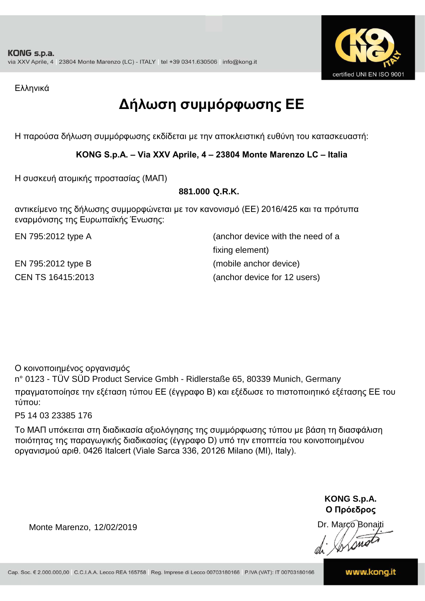

Ελληνικά

## **Δήλωση συμμόρφωσης ΕE**

Η παρούσα δήλωση συμμόρφωσης εκδίδεται με την αποκλειστική ευθύνη του κατασκευαστή:

**KONG S.p.A. – Via XXV Aprile, 4 – 23804 Monte Marenzo LC – Italia**

Η συσκευή ατομικής προστασίας (ΜΑΠ)

### **881.000 Q.R.K.**

αντικείμενο της δήλωσης συμμορφώνεται με τον κανονισμό (ΕΕ) 2016/425 και τα πρότυπα εναρμόνισης της Ευρωπαϊκής Ένωσης:

CEN TS 16415:2013 (anchor device for 12 users) EN 795:2012 type A (anchor device with the need of a fixing element) EN 795:2012 type B (mobile anchor device)

Ο κοινοποιημένος οργανισμός

n° 0123 - TÜV SÜD Product Service Gmbh - Ridlerstaße 65, 80339 Munich, Germany πραγματοποίησε την εξέταση τύπου ΕΕ (έγγραφο Β) και εξέδωσε το πιστοποιητικό εξέτασης ΕΕ του τύπου:

P5 14 03 23385 176

Το ΜΑΠ υπόκειται στη διαδικασία αξιολόγησης της συμμόρφωσης τύπου με βάση τη διασφάλιση ποιότητας της παραγωγικής διαδικασίας (έγγραφο D) υπό την εποπτεία του κοινοποιημένου οργανισμού αριθ. 0426 Italcert (Viale Sarca 336, 20126 Milano (MI), Italy).

> **KONG S.p.A. Ο Πρόεδρος**

Dr. Marco Bonaiti di Aromor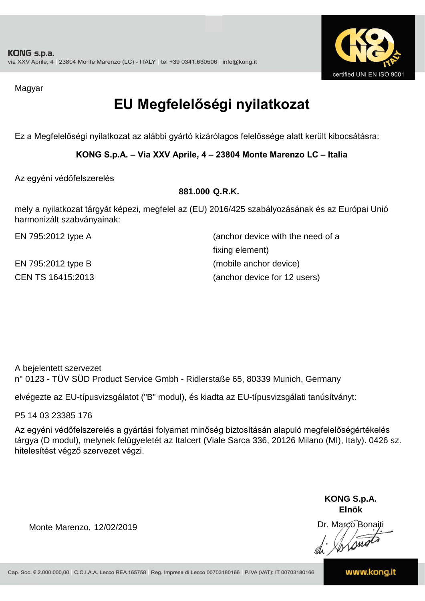

Magyar

## **EU Megfelelőségi nyilatkozat**

Ez a Megfelelőségi nyilatkozat az alábbi gyártó kizárólagos felelőssége alatt került kibocsátásra:

**KONG S.p.A. – Via XXV Aprile, 4 – 23804 Monte Marenzo LC – Italia**

Az egyéni védőfelszerelés

### **881.000 Q.R.K.**

mely a nyilatkozat tárgyát képezi, megfelel az (EU) 2016/425 szabályozásának és az Európai Unió harmonizált szabványainak:

EN 795:2012 type A (anchor device with the need of a fixing element) EN 795:2012 type B (mobile anchor device) CEN TS 16415:2013 (anchor device for 12 users)

A bejelentett szervezet n° 0123 - TÜV SÜD Product Service Gmbh - Ridlerstaße 65, 80339 Munich, Germany

elvégezte az EU-típusvizsgálatot ("B" modul), és kiadta az EU-típusvizsgálati tanúsítványt:

P5 14 03 23385 176

Az egyéni védőfelszerelés a gyártási folyamat minőség biztosításán alapuló megfelelőségértékelés tárgya (D modul), melynek felügyeletét az Italcert (Viale Sarca 336, 20126 Milano (MI), Italy). 0426 sz. hitelesítést végző szervezet végzi.

> **KONG S.p.A. Elnök**

Dr. Marco Bonaiti di Simon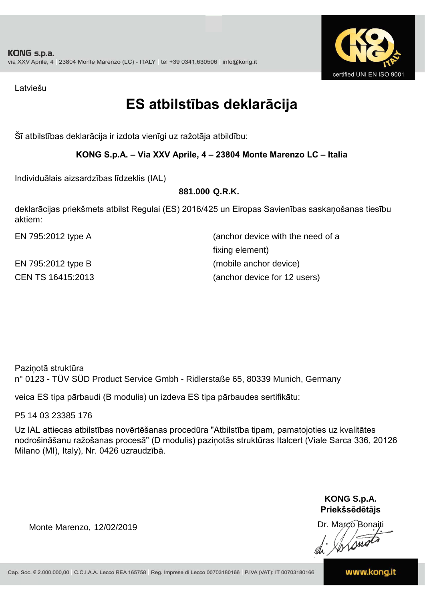

Latviešu

## **ES atbilstības deklarācija**

Šī atbilstības deklarācija ir izdota vienīgi uz ražotāja atbildību:

### **KONG S.p.A. – Via XXV Aprile, 4 – 23804 Monte Marenzo LC – Italia**

Individuālais aizsardzības līdzeklis (IAL)

### **881.000 Q.R.K.**

deklarācijas priekšmets atbilst Regulai (ES) 2016/425 un Eiropas Savienības saskaņošanas tiesību aktiem:

CEN TS 16415:2013 (anchor device for 12 users) EN 795:2012 type A (anchor device with the need of a fixing element) EN 795:2012 type B (mobile anchor device)

Paziņotā struktūra n° 0123 - TÜV SÜD Product Service Gmbh - Ridlerstaße 65, 80339 Munich, Germany

veica ES tipa pārbaudi (B modulis) un izdeva ES tipa pārbaudes sertifikātu:

P5 14 03 23385 176

Uz IAL attiecas atbilstības novērtēšanas procedūra "Atbilstība tipam, pamatojoties uz kvalitātes nodrošināšanu ražošanas procesā" (D modulis) paziņotās struktūras Italcert (Viale Sarca 336, 20126 Milano (MI), Italy), Nr. 0426 uzraudzībā.

> **KONG S.p.A. Priekšsēdētājs**

Dr. Marco Bonaiti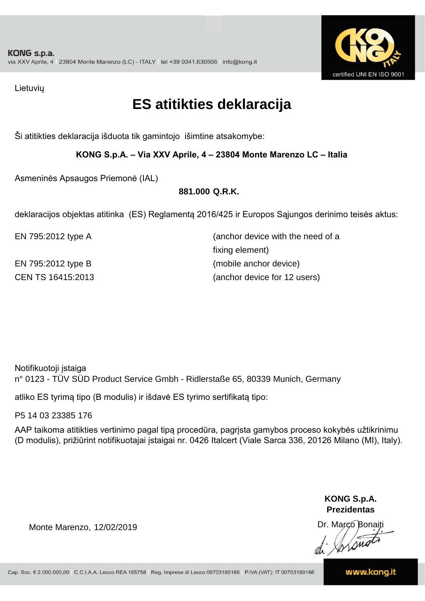

Lietuvių

## **ES atitikties deklaracija**

Ši atitikties deklaracija išduota tik gamintojo išimtine atsakomybe:

### **KONG S.p.A. – Via XXV Aprile, 4 – 23804 Monte Marenzo LC – Italia**

Asmeninės Apsaugos Priemonė (IAL)

### **881.000 Q.R.K.**

deklaracijos objektas atitinka (ES) Reglamentą 2016/425 ir Europos Sąjungos derinimo teisės aktus:

EN 795:2012 type A (anchor device with the need of a fixing element) EN 795:2012 type B (mobile anchor device) CEN TS 16415:2013 (anchor device for 12 users)

Notifikuotoji įstaiga

n° 0123 - TÜV SÜD Product Service Gmbh - Ridlerstaße 65, 80339 Munich, Germany

atliko ES tyrimą tipo (B modulis) ir išdavė ES tyrimo sertifikatą tipo:

P5 14 03 23385 176

AAP taikoma atitikties vertinimo pagal tipą procedūra, pagrįsta gamybos proceso kokybės užtikrinimu (D modulis), prižiūrint notifikuotajai įstaigai nr. 0426 Italcert (Viale Sarca 336, 20126 Milano (MI), Italy).

> **KONG S.p.A. Prezidentas**

Dr. Marco Bonaiti di Arono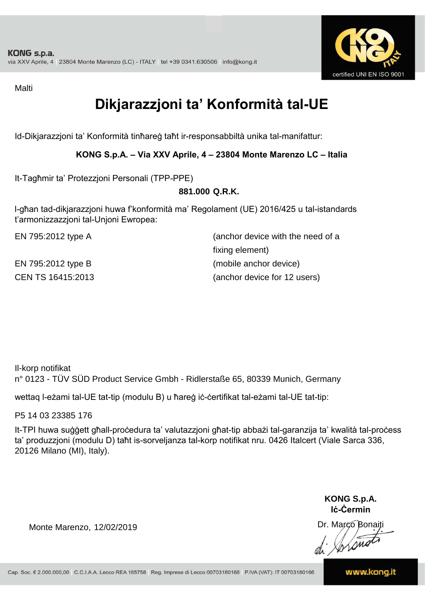

Malti

## **Dikjarazzjoni ta' Konformità tal-UE**

Id-Dikjarazzjoni ta' Konformità tinħareġ taħt ir-responsabbiltà unika tal-manifattur:

### **KONG S.p.A. – Via XXV Aprile, 4 – 23804 Monte Marenzo LC – Italia**

It-Tagħmir ta' Protezzjoni Personali (TPP-PPE)

### **881.000 Q.R.K.**

l-għan tad-dikjarazzjoni huwa f'konformità ma' Regolament (UE) 2016/425 u tal-istandards t'armonizzazzjoni tal-Unjoni Ewropea:

CEN TS 16415:2013 (anchor device for 12 users) EN 795:2012 type A (anchor device with the need of a fixing element) EN 795:2012 type B (mobile anchor device)

Il-korp notifikat n° 0123 - TÜV SÜD Product Service Gmbh - Ridlerstaße 65, 80339 Munich, Germany

wettaq l-eżami tal-UE tat-tip (modulu B) u ħareġ iċ-ċertifikat tal-eżami tal-UE tat-tip:

P5 14 03 23385 176

It-TPI huwa suġġett għall-proċedura ta' valutazzjoni għat-tip abbażi tal-garanzija ta' kwalità tal-proċess ta' produzzjoni (modulu D) taħt is-sorveljanza tal-korp notifikat nru. 0426 Italcert (Viale Sarca 336, 20126 Milano (MI), Italy).

> **KONG S.p.A. Iċ-Ċermin**

Dr. Marco Bonaiti di Jordinat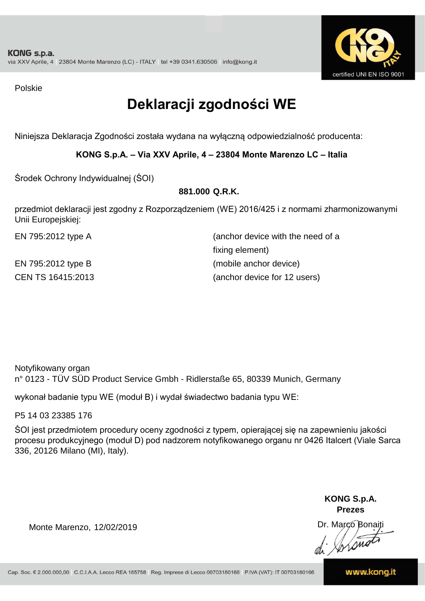

Polskie

## **Deklaracji zgodności WE**

Niniejsza Deklaracja Zgodności została wydana na wyłączną odpowiedzialność producenta:

**KONG S.p.A. – Via XXV Aprile, 4 – 23804 Monte Marenzo LC – Italia**

Środek Ochrony Indywidualnej (ŚOI)

### **881.000 Q.R.K.**

przedmiot deklaracji jest zgodny z Rozporządzeniem (WE) 2016/425 i z normami zharmonizowanymi Unii Europejskiej:

EN 795:2012 type A (anchor device with the need of a fixing element) EN 795:2012 type B (mobile anchor device) CEN TS 16415:2013 (anchor device for 12 users)

Notyfikowany organ n° 0123 - TÜV SÜD Product Service Gmbh - Ridlerstaße 65, 80339 Munich, Germany

wykonał badanie typu WE (moduł B) i wydał świadectwo badania typu WE:

P5 14 03 23385 176

ŚOI jest przedmiotem procedury oceny zgodności z typem, opierającej się na zapewnieniu jakości procesu produkcyjnego (moduł D) pod nadzorem notyfikowanego organu nr 0426 Italcert (Viale Sarca 336, 20126 Milano (MI), Italy).

> **KONG S.p.A. Prezes**

Dr. Marco Bonaiti di Arono

Monte Marenzo, 12/02/2019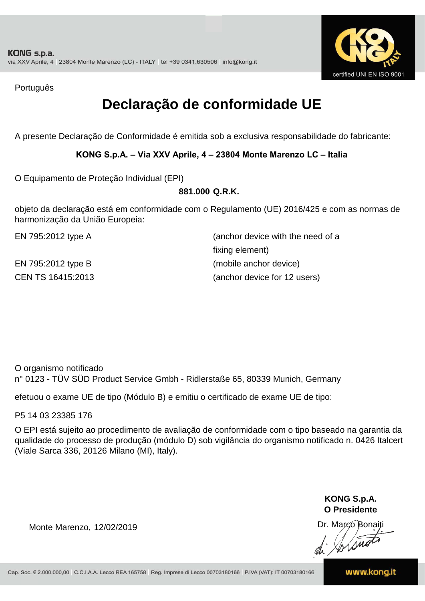

Português

## **Declaração de conformidade UE**

A presente Declaração de Conformidade é emitida sob a exclusiva responsabilidade do fabricante:

### **KONG S.p.A. – Via XXV Aprile, 4 – 23804 Monte Marenzo LC – Italia**

O Equipamento de Proteção Individual (EPI)

### **881.000 Q.R.K.**

objeto da declaração está em conformidade com o Regulamento (UE) 2016/425 e com as normas de harmonização da União Europeia:

CEN TS 16415:2013 (anchor device for 12 users) EN 795:2012 type A (anchor device with the need of a fixing element) EN 795:2012 type B (mobile anchor device)

O organismo notificado n° 0123 - TÜV SÜD Product Service Gmbh - Ridlerstaße 65, 80339 Munich, Germany

efetuou o exame UE de tipo (Módulo B) e emitiu o certificado de exame UE de tipo:

P5 14 03 23385 176

O EPI está sujeito ao procedimento de avaliação de conformidade com o tipo baseado na garantia da qualidade do processo de produção (módulo D) sob vigilância do organismo notificado n. 0426 Italcert (Viale Sarca 336, 20126 Milano (MI), Italy).

> **KONG S.p.A. O Presidente**

Dr. Marco Bonaiti di Aromor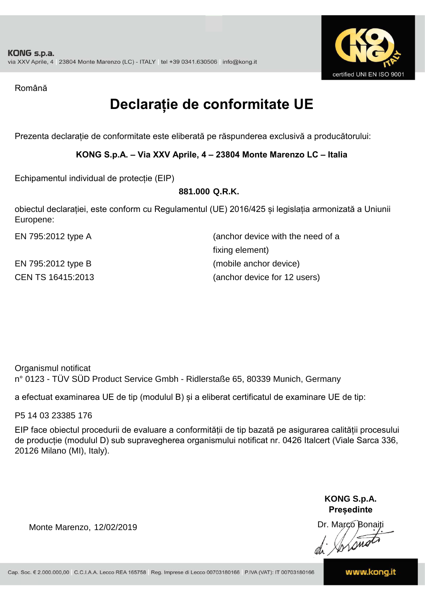

Română

## **Declarație de conformitate UE**

Prezenta declarație de conformitate este eliberată pe răspunderea exclusivă a producătorului:

### **KONG S.p.A. – Via XXV Aprile, 4 – 23804 Monte Marenzo LC – Italia**

Echipamentul individual de protecție (EIP)

#### **881.000 Q.R.K.**

obiectul declarației, este conform cu Regulamentul (UE) 2016/425 și legislația armonizată a Uniunii Europene:

| EN 795:2012 type A | (anchor device with the need of a |
|--------------------|-----------------------------------|
|                    | fixing element)                   |
| EN 795:2012 type B | (mobile anchor device)            |
| CEN TS 16415:2013  | (anchor device for 12 users)      |

Organismul notificat n° 0123 - TÜV SÜD Product Service Gmbh - Ridlerstaße 65, 80339 Munich, Germany

a efectuat examinarea UE de tip (modulul B) și a eliberat certificatul de examinare UE de tip:

P5 14 03 23385 176

EIP face obiectul procedurii de evaluare a conformității de tip bazată pe asigurarea calității procesului de producție (modulul D) sub supravegherea organismului notificat nr. 0426 Italcert (Viale Sarca 336, 20126 Milano (MI), Italy).

> **KONG S.p.A. Președinte**

Dr. Marco Bonaiti di Stono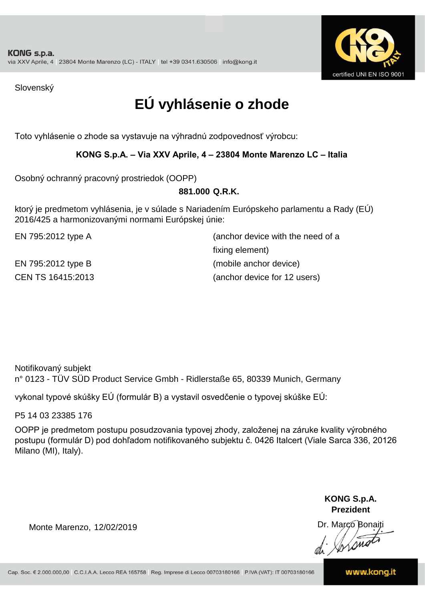

Slovenský

## **EÚ vyhlásenie o zhode**

Toto vyhlásenie o zhode sa vystavuje na výhradnú zodpovednosť výrobcu:

### **KONG S.p.A. – Via XXV Aprile, 4 – 23804 Monte Marenzo LC – Italia**

Osobný ochranný pracovný prostriedok (OOPP)

### **Q.R.K. 881.000**

ktorý je predmetom vyhlásenia, je v súlade s Nariadením Európskeho parlamentu a Rady (EÚ) 2016/425 a harmonizovanými normami Európskej únie:

CEN TS 16415:2013 (anchor device for 12 users) EN 795:2012 type A (anchor device with the need of a fixing element) EN 795:2012 type B (mobile anchor device)

Notifikovaný subjekt n° 0123 - TÜV SÜD Product Service Gmbh - Ridlerstaße 65, 80339 Munich, Germany

vykonal typové skúšky EÚ (formulár B) a vystavil osvedčenie o typovej skúške EÚ:

P5 14 03 23385 176

OOPP je predmetom postupu posudzovania typovej zhody, založenej na záruke kvality výrobného postupu (formulár D) pod dohľadom notifikovaného subjektu č. 0426 Italcert (Viale Sarca 336, 20126 Milano (MI), Italy).

> **KONG S.p.A. Prezident**

Dr. Marco Bonaiti di Arono

Monte Marenzo, 12/02/2019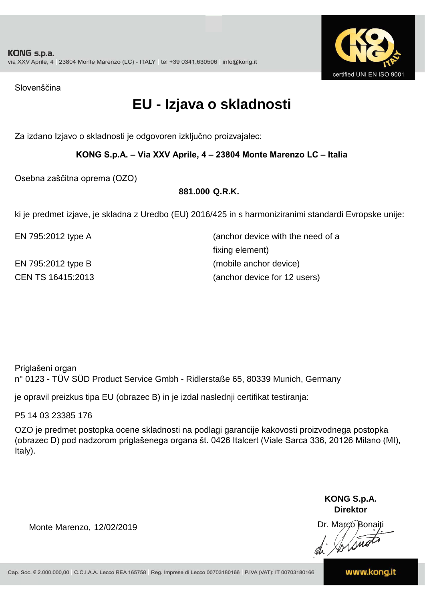

Slovenščina

## **EU - Izjava o skladnosti**

Za izdano Izjavo o skladnosti je odgovoren izključno proizvajalec:

### **KONG S.p.A. – Via XXV Aprile, 4 – 23804 Monte Marenzo LC – Italia**

Osebna zaščitna oprema (OZO)

### **881.000 Q.R.K.**

ki je predmet izjave, je skladna z Uredbo (EU) 2016/425 in s harmoniziranimi standardi Evropske unije:

EN 795:2012 type A (anchor device with the need of a CEN TS 16415:2013 (anchor device for 12 users) fixing element) EN 795:2012 type B (mobile anchor device)

Priglašeni organ

n° 0123 - TÜV SÜD Product Service Gmbh - Ridlerstaße 65, 80339 Munich, Germany

je opravil preizkus tipa EU (obrazec B) in je izdal naslednji certifikat testiranja:

P5 14 03 23385 176

OZO je predmet postopka ocene skladnosti na podlagi garancije kakovosti proizvodnega postopka (obrazec D) pod nadzorom priglašenega organa št. 0426 Italcert (Viale Sarca 336, 20126 Milano (MI), Italy).

> **KONG S.p.A. Direktor**

Dr. Marco Bonaiti di Aromor

Monte Marenzo, 12/02/2019